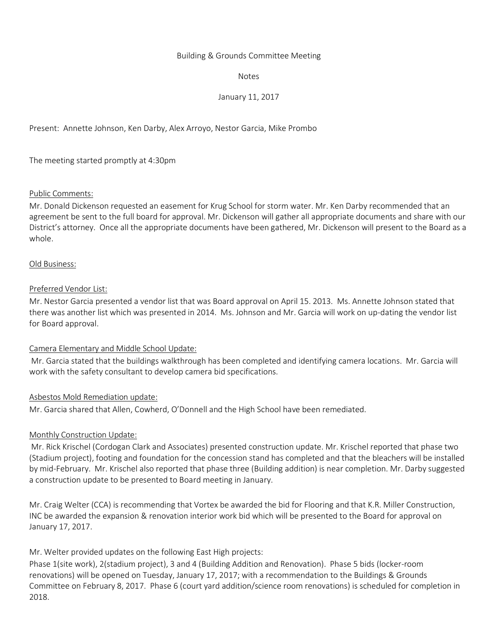### Building & Grounds Committee Meeting

Notes

## January 11, 2017

Present: Annette Johnson, Ken Darby, Alex Arroyo, Nestor Garcia, Mike Prombo

The meeting started promptly at 4:30pm

## Public Comments:

Mr. Donald Dickenson requested an easement for Krug School for storm water. Mr. Ken Darby recommended that an agreement be sent to the full board for approval. Mr. Dickenson will gather all appropriate documents and share with our District's attorney. Once all the appropriate documents have been gathered, Mr. Dickenson will present to the Board as a whole.

## Old Business:

## Preferred Vendor List:

Mr. Nestor Garcia presented a vendor list that was Board approval on April 15. 2013. Ms. Annette Johnson stated that there was another list which was presented in 2014. Ms. Johnson and Mr. Garcia will work on up-dating the vendor list for Board approval.

## Camera Elementary and Middle School Update:

Mr. Garcia stated that the buildings walkthrough has been completed and identifying camera locations. Mr. Garcia will work with the safety consultant to develop camera bid specifications.

## Asbestos Mold Remediation update:

Mr. Garcia shared that Allen, Cowherd, O'Donnell and the High School have been remediated.

## Monthly Construction Update:

Mr. Rick Krischel (Cordogan Clark and Associates) presented construction update. Mr. Krischel reported that phase two (Stadium project), footing and foundation for the concession stand has completed and that the bleachers will be installed by mid-February. Mr. Krischel also reported that phase three (Building addition) is near completion. Mr. Darby suggested a construction update to be presented to Board meeting in January.

Mr. Craig Welter (CCA) is recommending that Vortex be awarded the bid for Flooring and that K.R. Miller Construction, INC be awarded the expansion & renovation interior work bid which will be presented to the Board for approval on January 17, 2017.

Mr. Welter provided updates on the following East High projects:

Phase 1(site work), 2(stadium project), 3 and 4 (Building Addition and Renovation). Phase 5 bids (locker-room renovations) will be opened on Tuesday, January 17, 2017; with a recommendation to the Buildings & Grounds Committee on February 8, 2017. Phase 6 (court yard addition/science room renovations) is scheduled for completion in 2018.